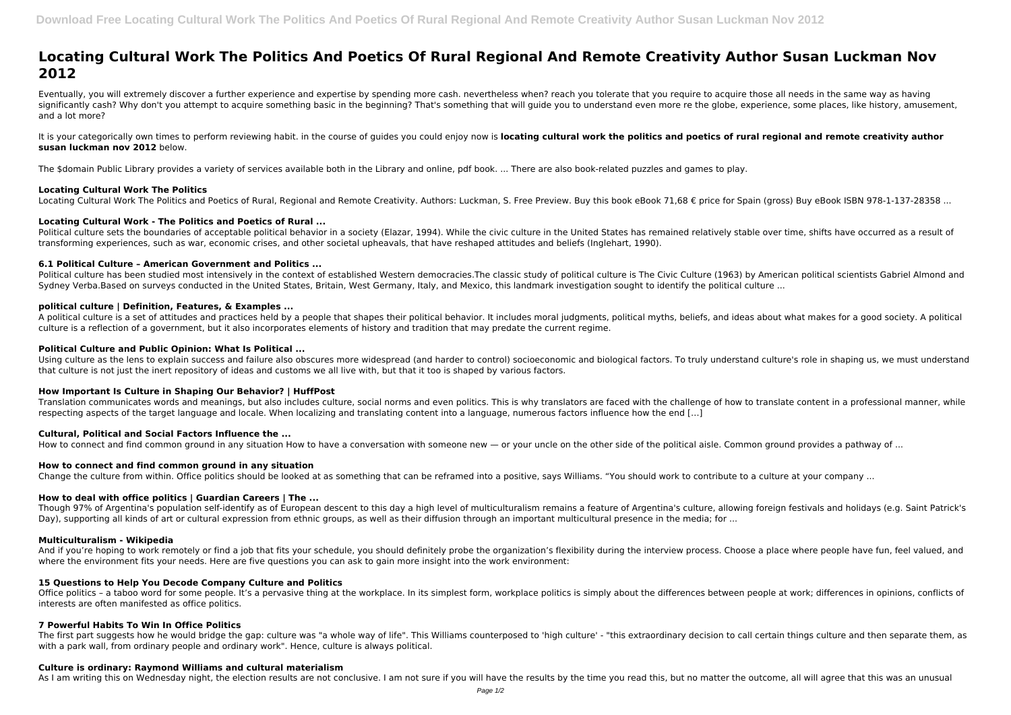# **Locating Cultural Work The Politics And Poetics Of Rural Regional And Remote Creativity Author Susan Luckman Nov 2012**

It is your categorically own times to perform reviewing habit. in the course of guides you could enjoy now is locating cultural work the politics and poetics of rural regional and remote creativity author **susan luckman nov 2012** below.

Eventually, you will extremely discover a further experience and expertise by spending more cash. nevertheless when? reach you tolerate that you require to acquire those all needs in the same way as having significantly cash? Why don't you attempt to acquire something basic in the beginning? That's something that will guide you to understand even more re the globe, experience, some places, like history, amusement, and a lot more?

Political culture sets the boundaries of acceptable political behavior in a society (Elazar, 1994). While the civic culture in the United States has remained relatively stable over time, shifts have occurred as a result of transforming experiences, such as war, economic crises, and other societal upheavals, that have reshaped attitudes and beliefs (Inglehart, 1990).

The \$domain Public Library provides a variety of services available both in the Library and online, pdf book. ... There are also book-related puzzles and games to play.

# **Locating Cultural Work The Politics**

Locating Cultural Work The Politics and Poetics of Rural, Regional and Remote Creativity. Authors: Luckman, S. Free Preview. Buy this book eBook 71,68 € price for Spain (gross) Buy eBook ISBN 978-1-137-28358 ...

# **Locating Cultural Work - The Politics and Poetics of Rural ...**

# **6.1 Political Culture – American Government and Politics ...**

Political culture has been studied most intensively in the context of established Western democracies. The classic study of political culture is The Civic Culture (1963) by American political scientists Gabriel Almond and Sydney Verba.Based on surveys conducted in the United States, Britain, West Germany, Italy, and Mexico, this landmark investigation sought to identify the political culture ...

Though 97% of Argentina's population self-identify as of European descent to this day a high level of multiculturalism remains a feature of Argentina's culture, allowing foreign festivals and holidays (e.g. Saint Patrick's Day), supporting all kinds of art or cultural expression from ethnic groups, as well as their diffusion through an important multicultural presence in the media; for ...

# **political culture | Definition, Features, & Examples ...**

And if you're hoping to work remotely or find a job that fits your schedule, you should definitely probe the organization's flexibility during the interview process. Choose a place where people have fun, feel valued, and where the environment fits your needs. Here are five questions you can ask to gain more insight into the work environment:

A political culture is a set of attitudes and practices held by a people that shapes their political behavior. It includes moral judgments, political myths, beliefs, and ideas about what makes for a good society. A political culture is a reflection of a government, but it also incorporates elements of history and tradition that may predate the current regime.

Office politics – a taboo word for some people. It's a pervasive thing at the workplace. In its simplest form, workplace politics is simply about the differences between people at work; differences in opinions, conflicts o interests are often manifested as office politics.

# **Political Culture and Public Opinion: What Is Political ...**

Using culture as the lens to explain success and failure also obscures more widespread (and harder to control) socioeconomic and biological factors. To truly understand culture's role in shaping us, we must understand that culture is not just the inert repository of ideas and customs we all live with, but that it too is shaped by various factors.

# **How Important Is Culture in Shaping Our Behavior? | HuffPost**

Translation communicates words and meanings, but also includes culture, social norms and even politics. This is why translators are faced with the challenge of how to translate content in a professional manner, while respecting aspects of the target language and locale. When localizing and translating content into a language, numerous factors influence how the end […]

# **Cultural, Political and Social Factors Influence the ...**

How to connect and find common ground in any situation How to have a conversation with someone new — or your uncle on the other side of the political aisle. Common ground provides a pathway of ...

# **How to connect and find common ground in any situation**

Change the culture from within. Office politics should be looked at as something that can be reframed into a positive, says Williams. "You should work to contribute to a culture at your company ...

# **How to deal with office politics | Guardian Careers | The ...**

# **Multiculturalism - Wikipedia**

# **15 Questions to Help You Decode Company Culture and Politics**

# **7 Powerful Habits To Win In Office Politics**

The first part suggests how he would bridge the gap: culture was "a whole way of life". This Williams counterposed to 'high culture' - "this extraordinary decision to call certain things culture and then separate them, as with a park wall, from ordinary people and ordinary work". Hence, culture is always political.

# **Culture is ordinary: Raymond Williams and cultural materialism**

As I am writing this on Wednesday night, the election results are not conclusive. I am not sure if you will have the results by the time you read this, but no matter the outcome, all will agree that this was an unusual